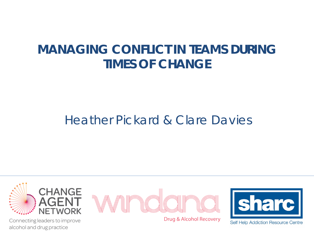## **MANAGING CONFLICT IN TEAMS DURING TIMES OF CHANGE**

### Heather Pickard & Clare Davies

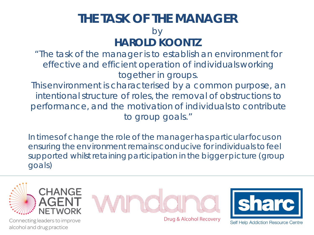#### **THE TASK OF THE MANAGER** by **HAROLD KOONTZ**

"The task of the manager is to establish an environment for effective and efficient operation of individuals working together in groups.

This environment is characterised by a common purpose, an intentional structure of roles, the removal of obstructions to performance, and the motivation of individuals to contribute to group goals."

In times of change the role of the manager has particular focus on ensuring the environment remains conducive for individuals to feel supported whilst retaining participation in the bigger picture (group goals)

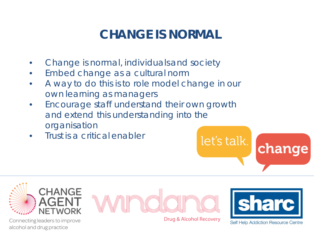# **CHANGE IS NORMAL**

- Change is normal, individuals and society
- Embed change as a cultural norm
- A way to do this is to role model change in our own learning as managers
- Encourage staff understand their own growth and extend this understanding into the organisation
- Trust is a critical enabler



Connecting leaders to improve alcohol and drug practice



Drug & Alcohol Recovery

let's talk.



change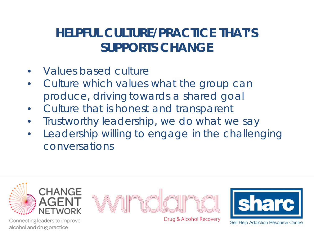# **HELPFUL CULTURE/PRACTICE THAT'S SUPPORTS CHANGE**

- Values based culture
- Culture which values what the group can produce, driving towards a shared goal
- Culture that is honest and transparent
- Trustworthy leadership, we do what we say
- Leadership willing to engage in the challenging conversations

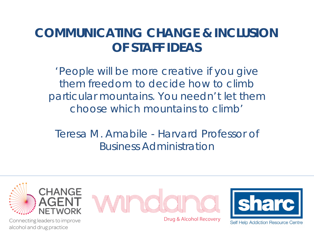### **COMMUNICATING CHANGE & INCLUSION OF STAFF IDEAS**

'People will be more creative if you give them freedom to decide how to climb particular mountains. You needn't let them choose which mountains to climb'

Teresa M. Amabile - Harvard Professor of Business Administration



Connecting leaders to improve alcohol and drug practice



Drug & Alcohol Recovery

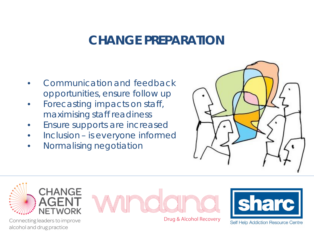#### **CHANGE PREPARATION**

- Communication and feedback opportunities, ensure follow up
- Forecasting impacts on staff, maximising staff readiness
- Ensure supports are increased
- Inclusion is everyone informed
- Normalising negotiation





Connecting leaders to improve alcohol and drug practice



Drug & Alcohol Recovery

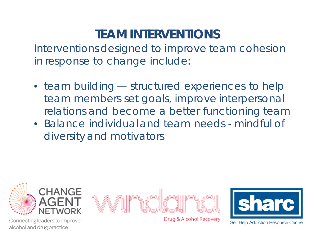# **TEAM INTERVENTIONS**

Interventions designed to improve team cohesion in response to change include:

- team building structured experiences to help team members set goals, improve interpersonal relations and become a better functioning team
- Balance individual and team needs mindful of diversity and motivators

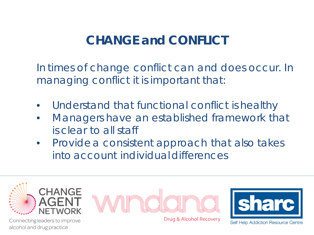# **CHANGE and CONFLICT**

In times of change conflict can and does occur. In managing conflict it is important that:

- Understand that functional conflict is healthy
- Managers have an established framework that is clear to all staff
- Provide a consistent approach that also takes into account individual differences



alcohol and drug practice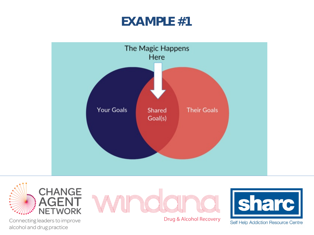#### **EXAMPLE #1**







Drug & Alcohol Recovery



Connecting leaders to improve alcohol and drug practice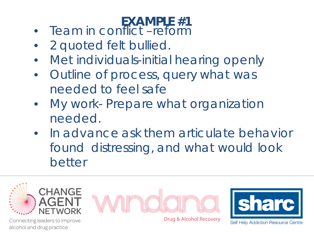#### • Team in conflict –reform **EXAMPLE #1**

- 2 quoted felt bullied.
- Met individuals-initial hearing openly
- Outline of process, query what was needed to feel safe
- My work- Prepare what organization needed.
- In advance ask them articulate behavior found distressing, and what would look better

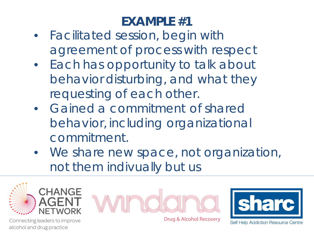# **EXAMPLE #1**

- Facilitated session, begin with agreement of process with respect
- Each has opportunity to talk about behavior disturbing, and what they requesting of each other.
- Gained a commitment of shared behavior, including organizational commitment.
- We share new space, not organization, not them indivually but us







Connecting leaders to improve alcohol and drug practice

Drug & Alcohol Recovery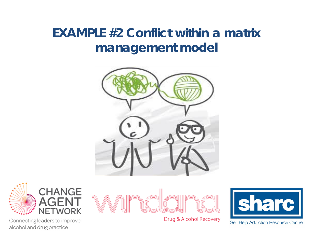## **EXAMPLE #2 Conflict within a matrix management model**





Drug & Alcohol Recovery



Connecting leaders to improve alcohol and drug practice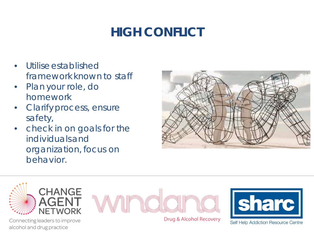# **HIGH CONFLICT**

- Utilise established framework known to staff
- Plan your role, do homework
- Clarify process, ensure safety,
- check in on goals for the individuals and organization, focus on behavior.





Connecting leaders to improve alcohol and drug practice



Drug & Alcohol Recovery

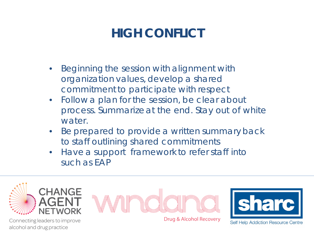# **HIGH CONFLICT**

- Beginning the session with alignment with organization values, develop a shared commitment to participate with respect
- Follow a plan for the session, be clear about process. Summarize at the end. Stay out of white water.
- Be prepared to provide a written summary back to staff outlining shared commitments
- Have a support framework to refer staff into such as EAP

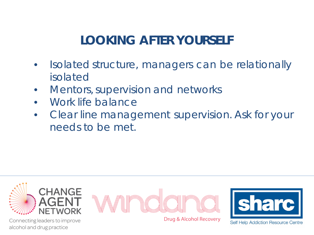# **LOOKING AFTER YOURSELF**

- Isolated structure, managers can be relationally isolated
- Mentors, supervision and networks
- Work life balance
- Clear line management supervision. Ask for your needs to be met.